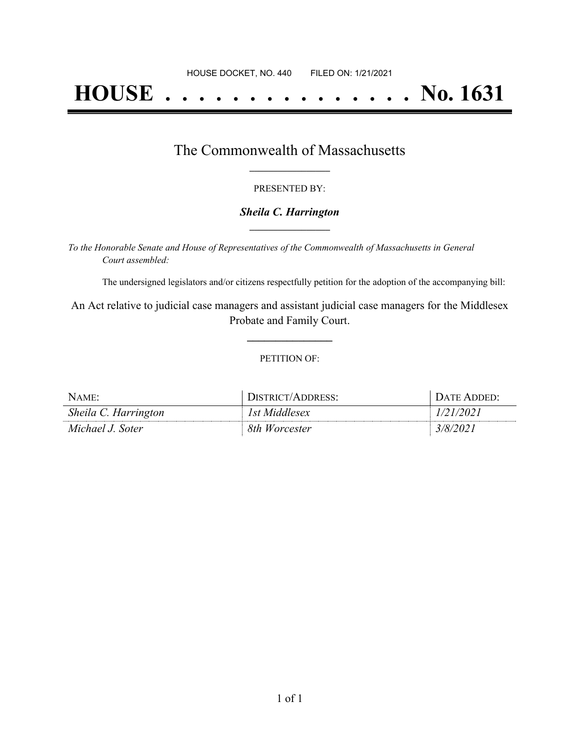# **HOUSE . . . . . . . . . . . . . . . No. 1631**

## The Commonwealth of Massachusetts **\_\_\_\_\_\_\_\_\_\_\_\_\_\_\_\_\_**

#### PRESENTED BY:

#### *Sheila C. Harrington* **\_\_\_\_\_\_\_\_\_\_\_\_\_\_\_\_\_**

*To the Honorable Senate and House of Representatives of the Commonwealth of Massachusetts in General Court assembled:*

The undersigned legislators and/or citizens respectfully petition for the adoption of the accompanying bill:

An Act relative to judicial case managers and assistant judicial case managers for the Middlesex Probate and Family Court.

**\_\_\_\_\_\_\_\_\_\_\_\_\_\_\_**

#### PETITION OF:

| $N$ AME:             | DISTRICT/ADDRESS: | DATE ADDED: |
|----------------------|-------------------|-------------|
| Sheila C. Harrington | 1st Middlesex     | 1/21/2021   |
| Michael J. Soter     | 8th Worcester     | 3/8/2021    |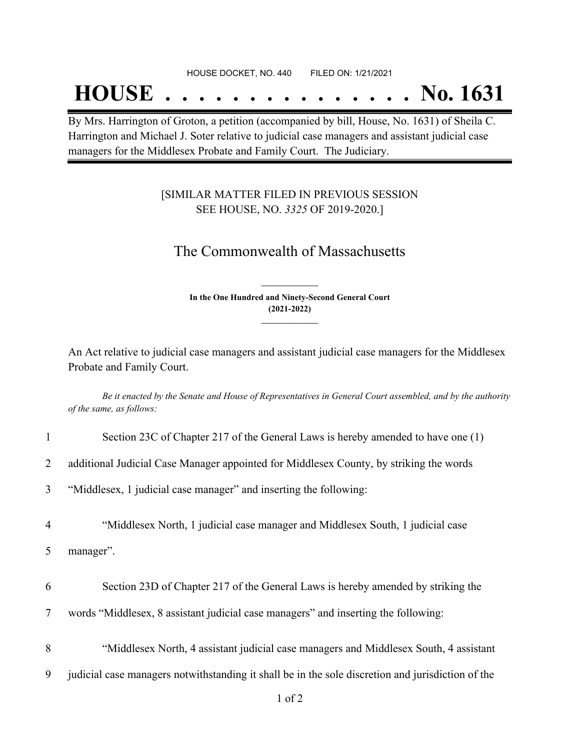#### HOUSE DOCKET, NO. 440 FILED ON: 1/21/2021

## **HOUSE . . . . . . . . . . . . . . . No. 1631**

By Mrs. Harrington of Groton, a petition (accompanied by bill, House, No. 1631) of Sheila C. Harrington and Michael J. Soter relative to judicial case managers and assistant judicial case managers for the Middlesex Probate and Family Court. The Judiciary.

### [SIMILAR MATTER FILED IN PREVIOUS SESSION SEE HOUSE, NO. *3325* OF 2019-2020.]

## The Commonwealth of Massachusetts

**In the One Hundred and Ninety-Second General Court (2021-2022) \_\_\_\_\_\_\_\_\_\_\_\_\_\_\_**

**\_\_\_\_\_\_\_\_\_\_\_\_\_\_\_**

An Act relative to judicial case managers and assistant judicial case managers for the Middlesex Probate and Family Court.

Be it enacted by the Senate and House of Representatives in General Court assembled, and by the authority *of the same, as follows:*

| $\mathbf{1}$   | Section 23C of Chapter 217 of the General Laws is hereby amended to have one (1)                  |
|----------------|---------------------------------------------------------------------------------------------------|
| $\overline{2}$ | additional Judicial Case Manager appointed for Middlesex County, by striking the words            |
| 3              | "Middlesex, 1 judicial case manager" and inserting the following:                                 |
| $\overline{4}$ | "Middlesex North, 1 judicial case manager and Middlesex South, 1 judicial case                    |
| 5              | manager".                                                                                         |
| 6              | Section 23D of Chapter 217 of the General Laws is hereby amended by striking the                  |
| $\overline{7}$ | words "Middlesex, 8 assistant judicial case managers" and inserting the following:                |
| 8              | "Middlesex North, 4 assistant judicial case managers and Middlesex South, 4 assistant             |
| 9              | judicial case managers notwithstanding it shall be in the sole discretion and jurisdiction of the |
|                | $1$ of $2$                                                                                        |